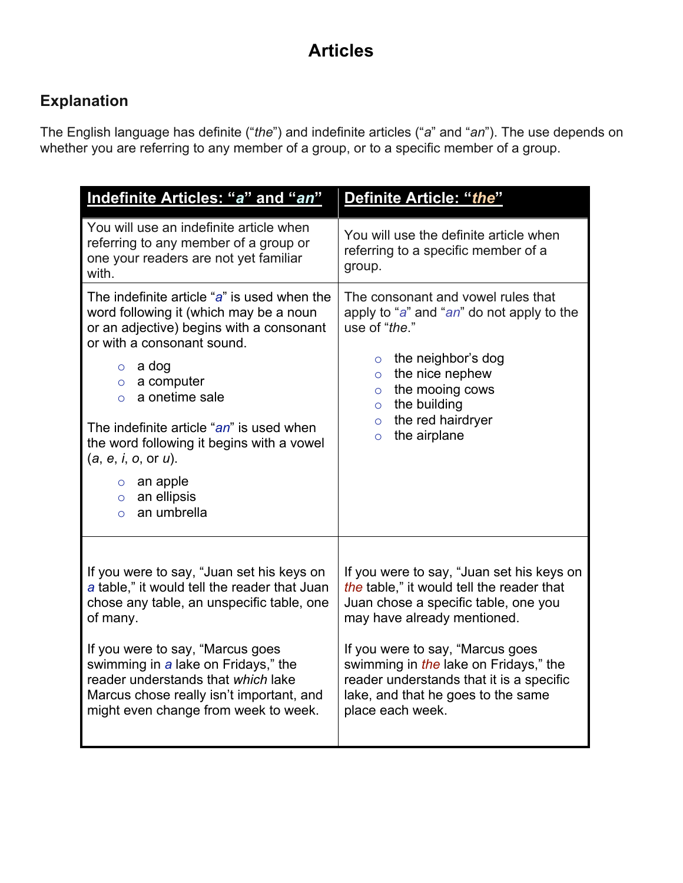# **Articles**

## **Explanation**

The English language has definite ("*the*") and indefinite articles ("*a*" and "*an*"). The use depends on whether you are referring to any member of a group, or to a specific member of a group.

| Indefinite Articles: "a" and "an"                                                                                                                                                                                                                                                                                                                                                                                            | Definite Article: "the"                                                                                                                                                                                                                                                                                                                          |
|------------------------------------------------------------------------------------------------------------------------------------------------------------------------------------------------------------------------------------------------------------------------------------------------------------------------------------------------------------------------------------------------------------------------------|--------------------------------------------------------------------------------------------------------------------------------------------------------------------------------------------------------------------------------------------------------------------------------------------------------------------------------------------------|
| You will use an indefinite article when<br>referring to any member of a group or<br>one your readers are not yet familiar<br>with.                                                                                                                                                                                                                                                                                           | You will use the definite article when<br>referring to a specific member of a<br>group.                                                                                                                                                                                                                                                          |
| The indefinite article "a" is used when the<br>word following it (which may be a noun<br>or an adjective) begins with a consonant<br>or with a consonant sound.<br>$\circ$ a dog<br>$\circ$ a computer<br>a onetime sale<br>$\Omega$<br>The indefinite article "an" is used when<br>the word following it begins with a vowel<br>(a, e, i, o, or u).<br>$\circ$ an apple<br>an ellipsis<br>$\circ$<br>an umbrella<br>$\circ$ | The consonant and vowel rules that<br>apply to "a" and "an" do not apply to the<br>use of "the."<br>$\circ$ the neighbor's dog<br>the nice nephew<br>$\circ$<br>the mooing cows<br>$\circ$<br>the building<br>$\circ$<br>the red hairdryer<br>$\circ$<br>the airplane<br>$\circ$                                                                 |
| If you were to say, "Juan set his keys on<br>a table," it would tell the reader that Juan<br>chose any table, an unspecific table, one<br>of many.<br>If you were to say, "Marcus goes<br>swimming in a lake on Fridays," the<br>reader understands that which lake<br>Marcus chose really isn't important, and<br>might even change from week to week.                                                                      | If you were to say, "Juan set his keys on<br>the table," it would tell the reader that<br>Juan chose a specific table, one you<br>may have already mentioned.<br>If you were to say, "Marcus goes<br>swimming in the lake on Fridays," the<br>reader understands that it is a specific<br>lake, and that he goes to the same<br>place each week. |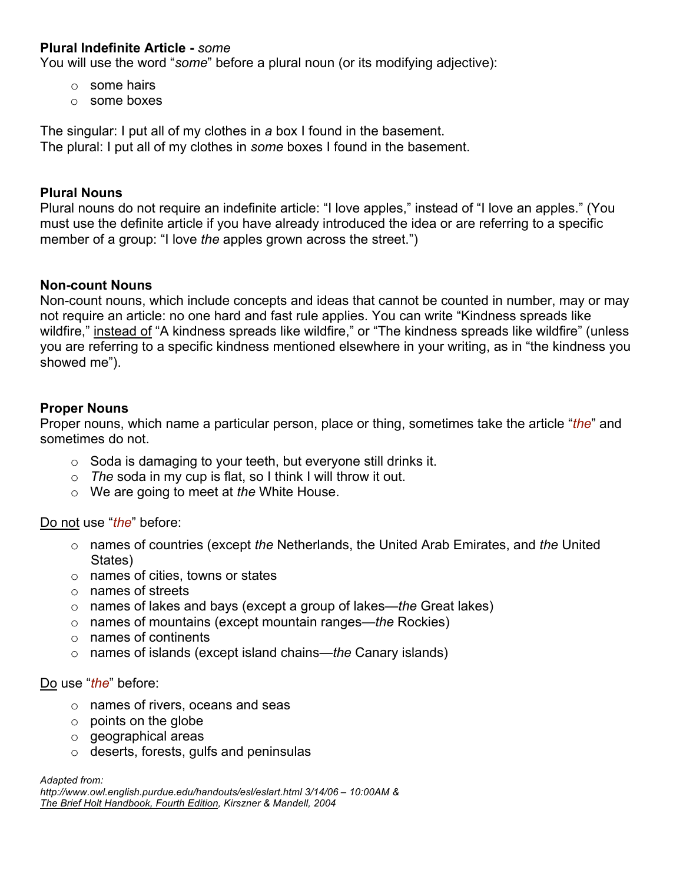#### **Plural Indefinite Article -** *some*

You will use the word "*some*" before a plural noun (or its modifying adjective):

- o some hairs
- o some boxes

The singular: I put all of my clothes in *a* box I found in the basement. The plural: I put all of my clothes in *some* boxes I found in the basement.

#### **Plural Nouns**

Plural nouns do not require an indefinite article: "I love apples," instead of "I love an apples." (You must use the definite article if you have already introduced the idea or are referring to a specific member of a group: "I love *the* apples grown across the street.")

#### **Non-count Nouns**

Non-count nouns, which include concepts and ideas that cannot be counted in number, may or may not require an article: no one hard and fast rule applies. You can write "Kindness spreads like wildfire," instead of "A kindness spreads like wildfire," or "The kindness spreads like wildfire" (unless you are referring to a specific kindness mentioned elsewhere in your writing, as in "the kindness you showed me").

#### **Proper Nouns**

Proper nouns, which name a particular person, place or thing, sometimes take the article "*the*" and sometimes do not.

- $\circ$  Soda is damaging to your teeth, but everyone still drinks it.
- o *The* soda in my cup is flat, so I think I will throw it out.
- o We are going to meet at *the* White House.

#### Do not use "*the*" before:

- o names of countries (except *the* Netherlands, the United Arab Emirates, and *the* United States)
- o names of cities, towns or states
- o names of streets
- o names of lakes and bays (except a group of lakes—*the* Great lakes)
- o names of mountains (except mountain ranges—*the* Rockies)
- o names of continents
- o names of islands (except island chains—*the* Canary islands)

#### Do use "*the*" before:

- o names of rivers, oceans and seas
- $\circ$  points on the globe
- o geographical areas
- o deserts, forests, gulfs and peninsulas

*Adapted from:*

*http://www.owl.english.purdue.edu/handouts/esl/eslart.html 3/14/06 – 10:00AM & The Brief Holt Handbook, Fourth Edition, Kirszner & Mandell, 2004*